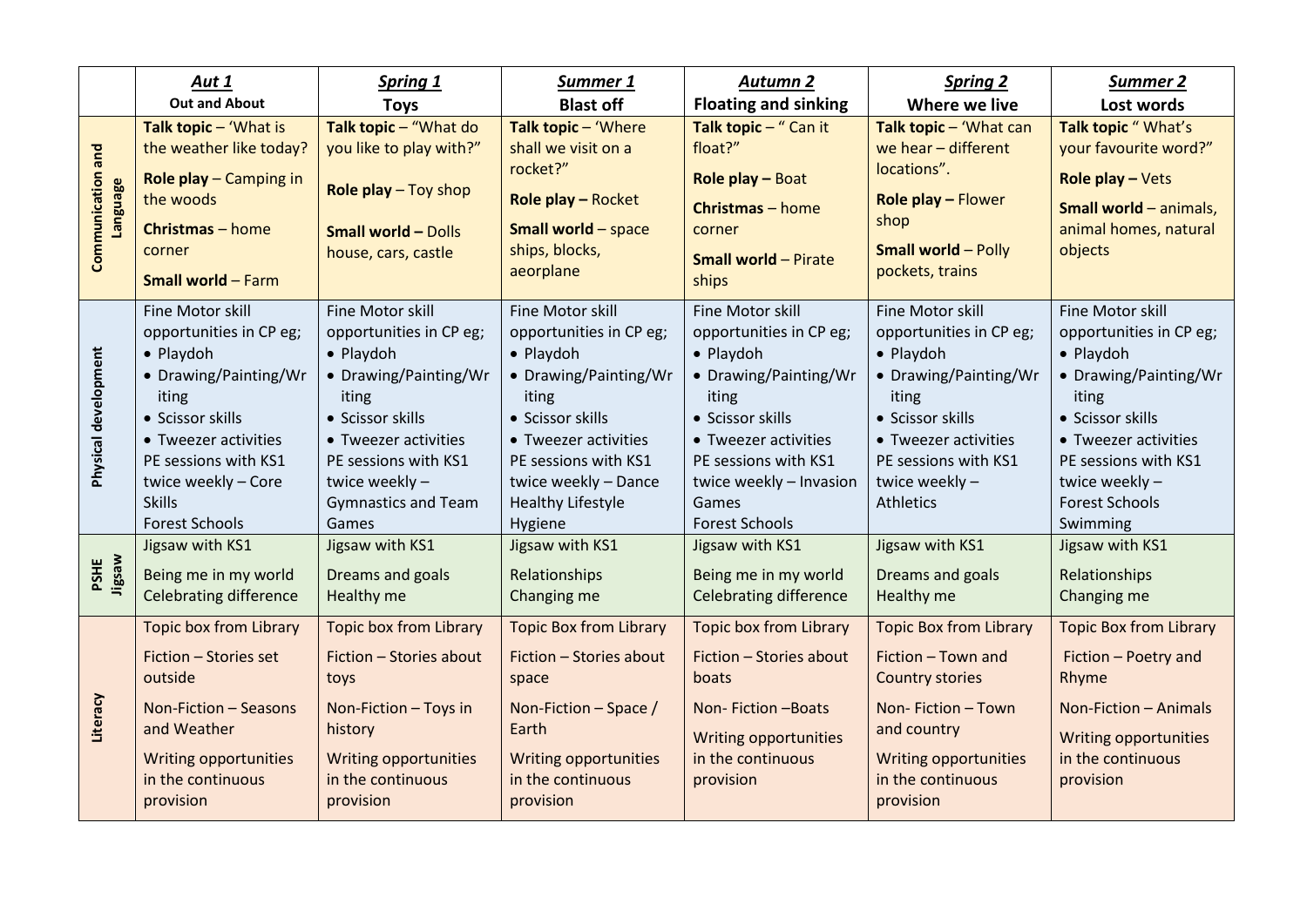|                               | Aut 1<br><b>Out and About</b>                                                                                                                                                                                                   | <b>Spring 1</b>                                                                                                                                                                                                         | Summer 1<br><b>Blast off</b>                                                                                                                                                                                                  | Autumn 2<br><b>Floating and sinking</b>                                                                                                                                                                                     | <b>Spring 2</b><br>Where we live                                                                                                                                                                     | Summer 2<br>Lost words                                                                                                                                                                                                |
|-------------------------------|---------------------------------------------------------------------------------------------------------------------------------------------------------------------------------------------------------------------------------|-------------------------------------------------------------------------------------------------------------------------------------------------------------------------------------------------------------------------|-------------------------------------------------------------------------------------------------------------------------------------------------------------------------------------------------------------------------------|-----------------------------------------------------------------------------------------------------------------------------------------------------------------------------------------------------------------------------|------------------------------------------------------------------------------------------------------------------------------------------------------------------------------------------------------|-----------------------------------------------------------------------------------------------------------------------------------------------------------------------------------------------------------------------|
| Communication and<br>Language | Talk topic - 'What is<br>the weather like today?<br>Role play - Camping in<br>the woods<br>Christmas - home<br>corner<br><b>Small world - Farm</b>                                                                              | <b>Toys</b><br>Talk topic - "What do<br>you like to play with?"<br>Role play - Toy shop<br><b>Small world - Dolls</b><br>house, cars, castle                                                                            | Talk topic - 'Where<br>shall we visit on a<br>rocket?"<br>Role play - Rocket<br><b>Small world - space</b><br>ships, blocks,<br>aeorplane                                                                                     | Talk topic - " Can it<br>float?"<br>Role play - Boat<br>Christmas - home<br>corner<br><b>Small world - Pirate</b><br>ships                                                                                                  | Talk topic - 'What can<br>we hear - different<br>locations".<br>Role play - Flower<br>shop<br><b>Small world - Polly</b><br>pockets, trains                                                          | Talk topic "What's<br>your favourite word?"<br>Role play $-$ Vets<br><b>Small world - animals,</b><br>animal homes, natural<br>objects                                                                                |
| Physical development          | Fine Motor skill<br>opportunities in CP eg;<br>• Playdoh<br>• Drawing/Painting/Wr<br>iting<br>• Scissor skills<br>• Tweezer activities<br>PE sessions with KS1<br>twice weekly - Core<br><b>Skills</b><br><b>Forest Schools</b> | Fine Motor skill<br>opportunities in CP eg;<br>• Playdoh<br>• Drawing/Painting/Wr<br>iting<br>• Scissor skills<br>• Tweezer activities<br>PE sessions with KS1<br>twice weekly -<br><b>Gymnastics and Team</b><br>Games | Fine Motor skill<br>opportunities in CP eg;<br>• Playdoh<br>• Drawing/Painting/Wr<br>iting<br>• Scissor skills<br>• Tweezer activities<br>PE sessions with KS1<br>twice weekly - Dance<br><b>Healthy Lifestyle</b><br>Hygiene | Fine Motor skill<br>opportunities in CP eg;<br>• Playdoh<br>• Drawing/Painting/Wr<br>iting<br>• Scissor skills<br>• Tweezer activities<br>PE sessions with KS1<br>twice weekly - Invasion<br>Games<br><b>Forest Schools</b> | Fine Motor skill<br>opportunities in CP eg;<br>• Playdoh<br>• Drawing/Painting/Wr<br>iting<br>• Scissor skills<br>• Tweezer activities<br>PE sessions with KS1<br>twice weekly -<br><b>Athletics</b> | Fine Motor skill<br>opportunities in CP eg;<br>• Playdoh<br>• Drawing/Painting/Wr<br>iting<br>• Scissor skills<br>• Tweezer activities<br>PE sessions with KS1<br>twice weekly -<br><b>Forest Schools</b><br>Swimming |
| PSHE<br>Jigsaw                | Jigsaw with KS1<br>Being me in my world<br><b>Celebrating difference</b>                                                                                                                                                        | Jigsaw with KS1<br>Dreams and goals<br>Healthy me                                                                                                                                                                       | Jigsaw with KS1<br>Relationships<br>Changing me                                                                                                                                                                               | Jigsaw with KS1<br>Being me in my world<br><b>Celebrating difference</b>                                                                                                                                                    | Jigsaw with KS1<br>Dreams and goals<br>Healthy me                                                                                                                                                    | Jigsaw with KS1<br>Relationships<br>Changing me                                                                                                                                                                       |
| Literacy                      | <b>Topic box from Library</b><br>Fiction - Stories set<br>outside<br>Non-Fiction - Seasons<br>and Weather<br>Writing opportunities<br>in the continuous<br>provision                                                            | <b>Topic box from Library</b><br>Fiction - Stories about<br>toys<br>Non-Fiction - Toys in<br>history<br><b>Writing opportunities</b><br>in the continuous<br>provision                                                  | <b>Topic Box from Library</b><br>Fiction - Stories about<br>space<br>Non-Fiction - Space /<br>Earth<br><b>Writing opportunities</b><br>in the continuous<br>provision                                                         | <b>Topic box from Library</b><br>Fiction - Stories about<br>boats<br>Non-Fiction-Boats<br><b>Writing opportunities</b><br>in the continuous<br>provision                                                                    | <b>Topic Box from Library</b><br>Fiction - Town and<br><b>Country stories</b><br>Non-Fiction-Town<br>and country<br><b>Writing opportunities</b><br>in the continuous<br>provision                   | <b>Topic Box from Library</b><br>Fiction - Poetry and<br>Rhyme<br>Non-Fiction - Animals<br>Writing opportunities<br>in the continuous<br>provision                                                                    |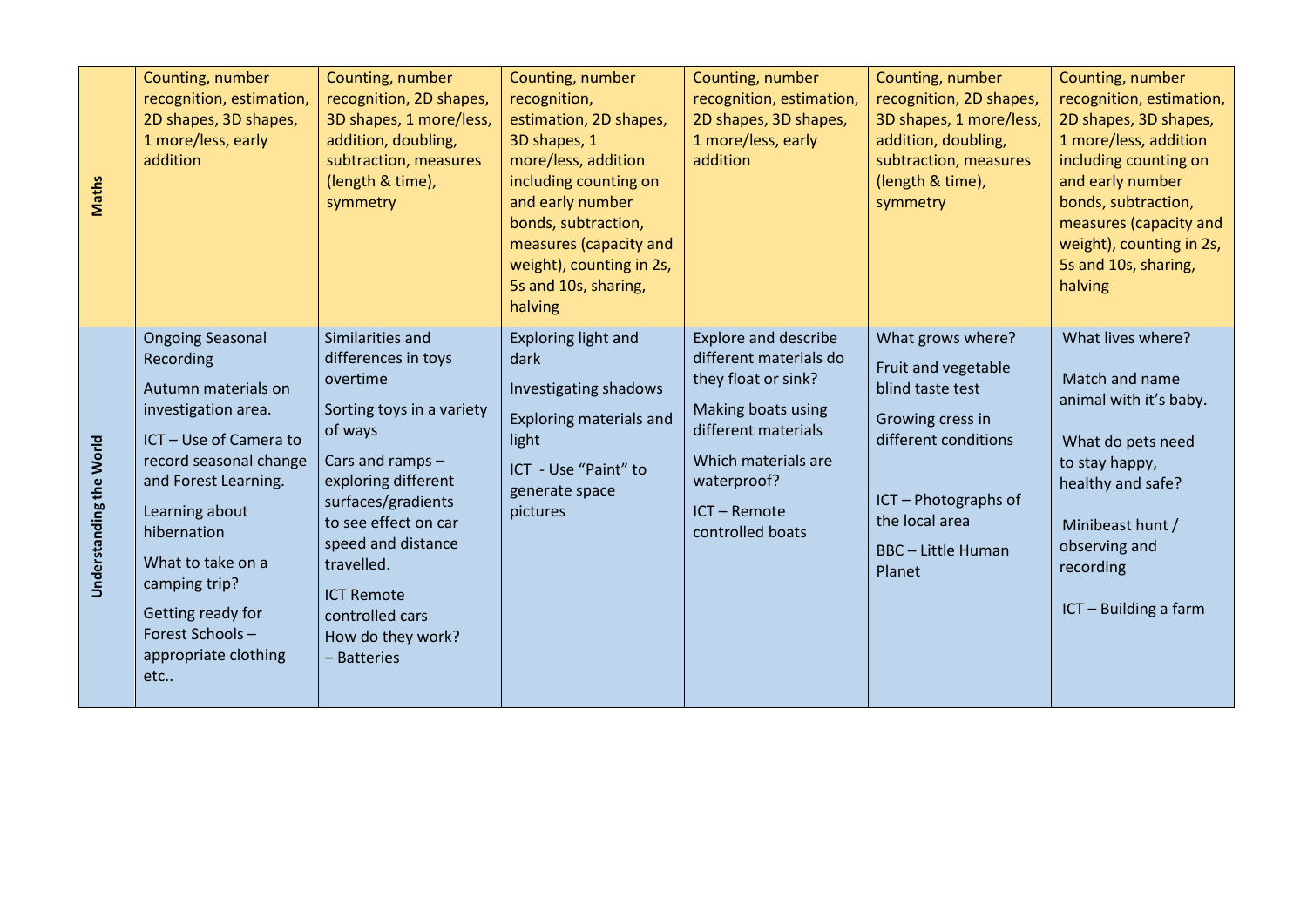| <b>Maths</b>            | Counting, number<br>recognition, estimation,<br>2D shapes, 3D shapes,<br>1 more/less, early<br>addition                                                                                                                                                                                                      | Counting, number<br>recognition, 2D shapes,<br>3D shapes, 1 more/less,<br>addition, doubling,<br>subtraction, measures<br>(length & time),<br>symmetry                                                                                                                                               | Counting, number<br>recognition,<br>estimation, 2D shapes,<br>3D shapes, 1<br>more/less, addition<br>including counting on<br>and early number<br>bonds, subtraction,<br>measures (capacity and<br>weight), counting in 2s,<br>5s and 10s, sharing,<br>halving | Counting, number<br>recognition, estimation,<br>2D shapes, 3D shapes,<br>1 more/less, early<br>addition                                                                                           | Counting, number<br>recognition, 2D shapes,<br>3D shapes, 1 more/less,<br>addition, doubling,<br>subtraction, measures<br>(length & time),<br>symmetry                                    | Counting, number<br>recognition, estimation,<br>2D shapes, 3D shapes,<br>1 more/less, addition<br>including counting on<br>and early number<br>bonds, subtraction,<br>measures (capacity and<br>weight), counting in 2s,<br>5s and 10s, sharing,<br>halving |
|-------------------------|--------------------------------------------------------------------------------------------------------------------------------------------------------------------------------------------------------------------------------------------------------------------------------------------------------------|------------------------------------------------------------------------------------------------------------------------------------------------------------------------------------------------------------------------------------------------------------------------------------------------------|----------------------------------------------------------------------------------------------------------------------------------------------------------------------------------------------------------------------------------------------------------------|---------------------------------------------------------------------------------------------------------------------------------------------------------------------------------------------------|-------------------------------------------------------------------------------------------------------------------------------------------------------------------------------------------|-------------------------------------------------------------------------------------------------------------------------------------------------------------------------------------------------------------------------------------------------------------|
| Understanding the World | <b>Ongoing Seasonal</b><br>Recording<br>Autumn materials on<br>investigation area.<br>ICT - Use of Camera to<br>record seasonal change<br>and Forest Learning.<br>Learning about<br>hibernation<br>What to take on a<br>camping trip?<br>Getting ready for<br>Forest Schools-<br>appropriate clothing<br>etc | Similarities and<br>differences in toys<br>overtime<br>Sorting toys in a variety<br>of ways<br>Cars and ramps -<br>exploring different<br>surfaces/gradients<br>to see effect on car<br>speed and distance<br>travelled.<br><b>ICT Remote</b><br>controlled cars<br>How do they work?<br>- Batteries | Exploring light and<br>dark<br>Investigating shadows<br><b>Exploring materials and</b><br>light<br>ICT - Use "Paint" to<br>generate space<br>pictures                                                                                                          | <b>Explore and describe</b><br>different materials do<br>they float or sink?<br>Making boats using<br>different materials<br>Which materials are<br>waterproof?<br>ICT-Remote<br>controlled boats | What grows where?<br>Fruit and vegetable<br>blind taste test<br>Growing cress in<br>different conditions<br>ICT - Photographs of<br>the local area<br><b>BBC</b> - Little Human<br>Planet | What lives where?<br>Match and name<br>animal with it's baby.<br>What do pets need<br>to stay happy,<br>healthy and safe?<br>Minibeast hunt /<br>observing and<br>recording<br>ICT - Building a farm                                                        |